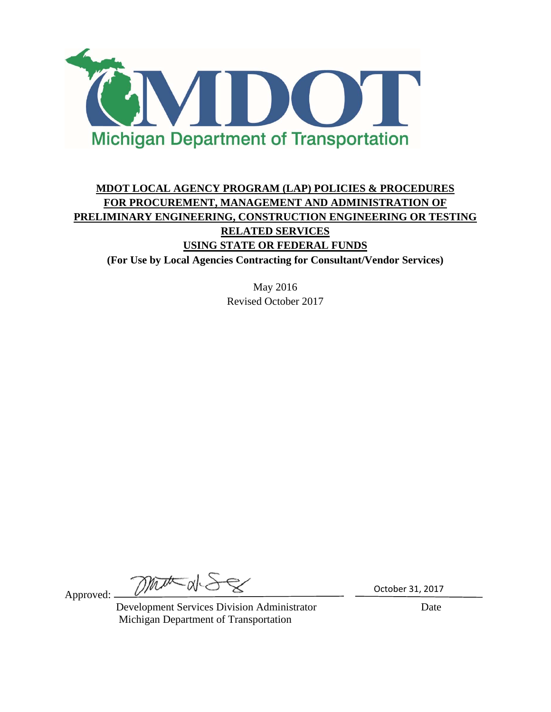

# **MDOT LOCAL AGENCY PROGRAM (LAP) POLICIES & PROCEDURES FOR PROCUREMENT, MANAGEMENT AND ADMINISTRATION OF PRELIMINARY ENGINEERING, CONSTRUCTION ENGINEERING OR TESTING RELATED SERVICES USING STATE OR FEDERAL FUNDS (For Use by Local Agencies Contracting for Consultant/Vendor Services)**

May 2016 Revised October 2017

Approved:

mata

 Development Services Division Administrator Date Michigan Department of Transportation

October 31, 2017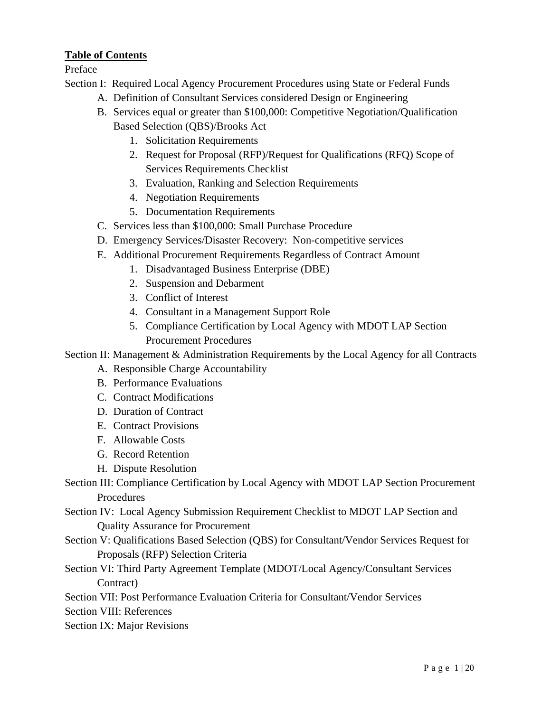### **Table of Contents**

Preface

- Section I: Required Local Agency Procurement Procedures using State or Federal Funds
	- A. Definition of Consultant Services considered Design or Engineering
	- B. Services equal or greater than \$100,000: Competitive Negotiation/Qualification Based Selection (QBS)/Brooks Act
		- 1. Solicitation Requirements
		- 2. Request for Proposal (RFP)/Request for Qualifications (RFQ) Scope of Services Requirements Checklist
		- 3. Evaluation, Ranking and Selection Requirements
		- 4. Negotiation Requirements
		- 5. Documentation Requirements
	- C. Services less than \$100,000: Small Purchase Procedure
	- D. Emergency Services/Disaster Recovery: Non-competitive services
	- E. Additional Procurement Requirements Regardless of Contract Amount
		- 1. Disadvantaged Business Enterprise (DBE)
		- 2. Suspension and Debarment
		- 3. Conflict of Interest
		- 4. Consultant in a Management Support Role
		- 5. Compliance Certification by Local Agency with MDOT LAP Section Procurement Procedures

Section II: Management & Administration Requirements by the Local Agency for all Contracts

- A. Responsible Charge Accountability
- B. Performance Evaluations
- C. Contract Modifications
- D. Duration of Contract
- E. Contract Provisions
- F. Allowable Costs
- G. Record Retention
- H. Dispute Resolution
- Section III: Compliance Certification by Local Agency with MDOT LAP Section Procurement Procedures
- Section IV: Local Agency Submission Requirement Checklist to MDOT LAP Section and Quality Assurance for Procurement
- Section V: Qualifications Based Selection (QBS) for Consultant/Vendor Services Request for Proposals (RFP) Selection Criteria
- Section VI: Third Party Agreement Template (MDOT/Local Agency/Consultant Services Contract)
- Section VII: Post Performance Evaluation Criteria for Consultant/Vendor Services
- Section VIII: References
- Section IX: Major Revisions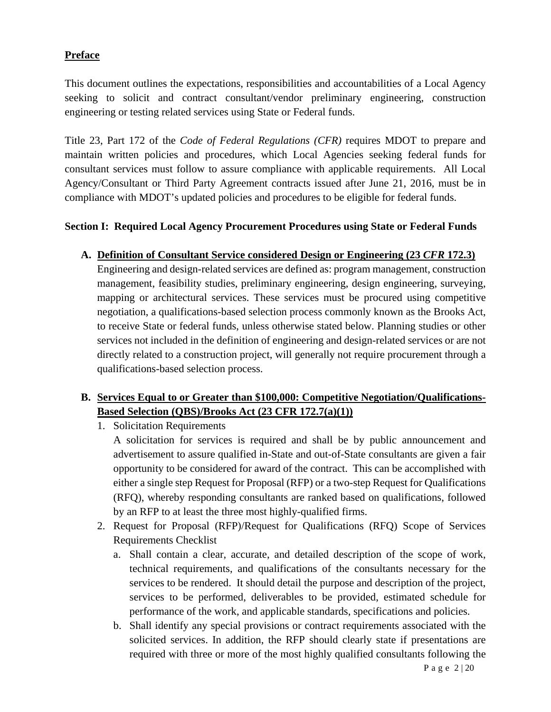### **Preface**

This document outlines the expectations, responsibilities and accountabilities of a Local Agency seeking to solicit and contract consultant/vendor preliminary engineering, construction engineering or testing related services using State or Federal funds.

Title 23, Part 172 of the *Code of Federal Regulations (CFR)* requires MDOT to prepare and maintain written policies and procedures, which Local Agencies seeking federal funds for consultant services must follow to assure compliance with applicable requirements. All Local Agency/Consultant or Third Party Agreement contracts issued after June 21, 2016, must be in compliance with MDOT's updated policies and procedures to be eligible for federal funds.

### **Section I: Required Local Agency Procurement Procedures using State or Federal Funds**

### **A. Definition of Consultant Service considered Design or Engineering (23** *CFR* **172.3)**

Engineering and design-related services are defined as: program management, construction management, feasibility studies, preliminary engineering, design engineering, surveying, mapping or architectural services. These services must be procured using competitive negotiation, a qualifications-based selection process commonly known as the Brooks Act, to receive State or federal funds, unless otherwise stated below. Planning studies or other services not included in the definition of engineering and design-related services or are not directly related to a construction project, will generally not require procurement through a qualifications-based selection process.

### **B. Services Equal to or Greater than \$100,000: Competitive Negotiation/Qualifications-Based Selection (QBS)/Brooks Act (23 CFR 172.7(a)(1))**

1. Solicitation Requirements

A solicitation for services is required and shall be by public announcement and advertisement to assure qualified in-State and out-of-State consultants are given a fair opportunity to be considered for award of the contract. This can be accomplished with either a single step Request for Proposal (RFP) or a two-step Request for Qualifications (RFQ), whereby responding consultants are ranked based on qualifications, followed by an RFP to at least the three most highly-qualified firms.

- 2. Request for Proposal (RFP)/Request for Qualifications (RFQ) Scope of Services Requirements Checklist
	- a. Shall contain a clear, accurate, and detailed description of the scope of work, technical requirements, and qualifications of the consultants necessary for the services to be rendered. It should detail the purpose and description of the project, services to be performed, deliverables to be provided, estimated schedule for performance of the work, and applicable standards, specifications and policies.
	- b. Shall identify any special provisions or contract requirements associated with the solicited services. In addition, the RFP should clearly state if presentations are required with three or more of the most highly qualified consultants following the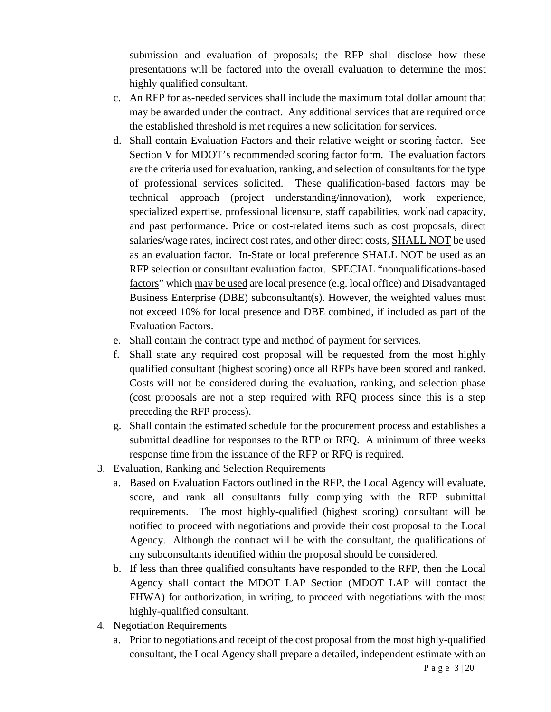submission and evaluation of proposals; the RFP shall disclose how these presentations will be factored into the overall evaluation to determine the most highly qualified consultant.

- c. An RFP for as-needed services shall include the maximum total dollar amount that may be awarded under the contract. Any additional services that are required once the established threshold is met requires a new solicitation for services.
- d. Shall contain Evaluation Factors and their relative weight or scoring factor. See Section V for MDOT's recommended scoring factor form. The evaluation factors are the criteria used for evaluation, ranking, and selection of consultants for the type of professional services solicited. These qualification-based factors may be technical approach (project understanding/innovation), work experience, specialized expertise, professional licensure, staff capabilities, workload capacity, and past performance. Price or cost-related items such as cost proposals, direct salaries/wage rates, indirect cost rates, and other direct costs, SHALL NOT be used as an evaluation factor. In-State or local preference SHALL NOT be used as an RFP selection or consultant evaluation factor. SPECIAL "nonqualifications-based factors" which may be used are local presence (e.g. local office) and Disadvantaged Business Enterprise (DBE) subconsultant(s). However, the weighted values must not exceed 10% for local presence and DBE combined, if included as part of the Evaluation Factors.
- e. Shall contain the contract type and method of payment for services.
- f. Shall state any required cost proposal will be requested from the most highly qualified consultant (highest scoring) once all RFPs have been scored and ranked. Costs will not be considered during the evaluation, ranking, and selection phase (cost proposals are not a step required with RFQ process since this is a step preceding the RFP process).
- g. Shall contain the estimated schedule for the procurement process and establishes a submittal deadline for responses to the RFP or RFQ. A minimum of three weeks response time from the issuance of the RFP or RFQ is required.
- 3. Evaluation, Ranking and Selection Requirements
	- a. Based on Evaluation Factors outlined in the RFP, the Local Agency will evaluate, score, and rank all consultants fully complying with the RFP submittal requirements. The most highly-qualified (highest scoring) consultant will be notified to proceed with negotiations and provide their cost proposal to the Local Agency. Although the contract will be with the consultant, the qualifications of any subconsultants identified within the proposal should be considered.
	- b. If less than three qualified consultants have responded to the RFP, then the Local Agency shall contact the MDOT LAP Section (MDOT LAP will contact the FHWA) for authorization, in writing, to proceed with negotiations with the most highly-qualified consultant.
- 4. Negotiation Requirements
	- a. Prior to negotiations and receipt of the cost proposal from the most highly-qualified consultant, the Local Agency shall prepare a detailed, independent estimate with an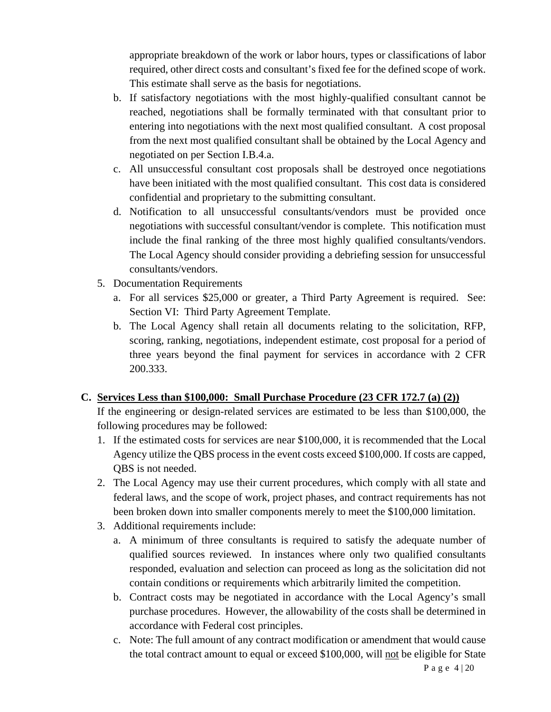appropriate breakdown of the work or labor hours, types or classifications of labor required, other direct costs and consultant's fixed fee for the defined scope of work. This estimate shall serve as the basis for negotiations.

- b. If satisfactory negotiations with the most highly-qualified consultant cannot be reached, negotiations shall be formally terminated with that consultant prior to entering into negotiations with the next most qualified consultant. A cost proposal from the next most qualified consultant shall be obtained by the Local Agency and negotiated on per Section I.B.4.a.
- c. All unsuccessful consultant cost proposals shall be destroyed once negotiations have been initiated with the most qualified consultant. This cost data is considered confidential and proprietary to the submitting consultant.
- d. Notification to all unsuccessful consultants/vendors must be provided once negotiations with successful consultant/vendor is complete. This notification must include the final ranking of the three most highly qualified consultants/vendors. The Local Agency should consider providing a debriefing session for unsuccessful consultants/vendors.
- 5. Documentation Requirements
	- a. For all services \$25,000 or greater, a Third Party Agreement is required. See: Section VI: Third Party Agreement Template.
	- b. The Local Agency shall retain all documents relating to the solicitation, RFP, scoring, ranking, negotiations, independent estimate, cost proposal for a period of three years beyond the final payment for services in accordance with 2 CFR 200.333.

### **C. Services Less than \$100,000: Small Purchase Procedure (23 CFR 172.7 (a) (2))**

If the engineering or design-related services are estimated to be less than \$100,000, the following procedures may be followed:

- 1. If the estimated costs for services are near \$100,000, it is recommended that the Local Agency utilize the QBS process in the event costs exceed \$100,000. If costs are capped, QBS is not needed.
- 2. The Local Agency may use their current procedures, which comply with all state and federal laws, and the scope of work, project phases, and contract requirements has not been broken down into smaller components merely to meet the \$100,000 limitation.
- 3. Additional requirements include:
	- a. A minimum of three consultants is required to satisfy the adequate number of qualified sources reviewed. In instances where only two qualified consultants responded, evaluation and selection can proceed as long as the solicitation did not contain conditions or requirements which arbitrarily limited the competition.
	- b. Contract costs may be negotiated in accordance with the Local Agency's small purchase procedures. However, the allowability of the costs shall be determined in accordance with Federal cost principles.
	- c. Note: The full amount of any contract modification or amendment that would cause the total contract amount to equal or exceed \$100,000, will not be eligible for State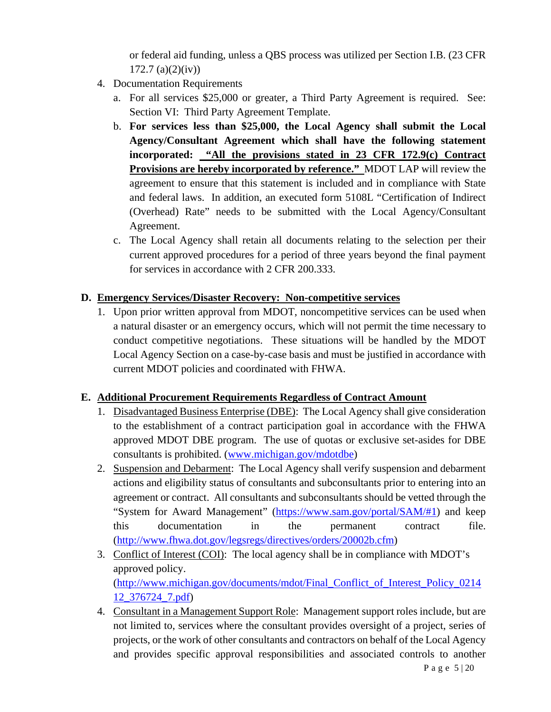or federal aid funding, unless a QBS process was utilized per Section I.B. (23 CFR  $172.7$  (a)(2)(iv))

- 4. Documentation Requirements
	- a. For all services \$25,000 or greater, a Third Party Agreement is required. See: Section VI: Third Party Agreement Template.
	- b. **For services less than \$25,000, the Local Agency shall submit the Local Agency/Consultant Agreement which shall have the following statement incorporated: "All the provisions stated in 23 CFR 172.9(c) Contract Provisions are hereby incorporated by reference."** MDOT LAP will review the agreement to ensure that this statement is included and in compliance with State and federal laws. In addition, an executed form 5108L "Certification of Indirect (Overhead) Rate" needs to be submitted with the Local Agency/Consultant Agreement.
	- c. The Local Agency shall retain all documents relating to the selection per their current approved procedures for a period of three years beyond the final payment for services in accordance with 2 CFR 200.333.

### **D. Emergency Services/Disaster Recovery: Non-competitive services**

1. Upon prior written approval from MDOT, noncompetitive services can be used when a natural disaster or an emergency occurs, which will not permit the time necessary to conduct competitive negotiations. These situations will be handled by the MDOT Local Agency Section on a case-by-case basis and must be justified in accordance with current MDOT policies and coordinated with FHWA.

### **E. Additional Procurement Requirements Regardless of Contract Amount**

- 1. Disadvantaged Business Enterprise (DBE): The Local Agency shall give consideration to the establishment of a contract participation goal in accordance with the FHWA approved MDOT DBE program. The use of quotas or exclusive set-asides for DBE consultants is prohibited. (www.michigan.gov/mdotdbe)
- 2. Suspension and Debarment: The Local Agency shall verify suspension and debarment actions and eligibility status of consultants and subconsultants prior to entering into an agreement or contract. All consultants and subconsultants should be vetted through the "System for Award Management" (https://www.sam.gov/portal/SAM/#1) and keep this documentation in the permanent contract file. (http://www.fhwa.dot.gov/legsregs/directives/orders/20002b.cfm)
- 3. Conflict of Interest (COI): The local agency shall be in compliance with MDOT's approved policy. (http://www.michigan.gov/documents/mdot/Final\_Conflict\_of\_Interest\_Policy\_0214 12\_376724\_7.pdf)
- 4. Consultant in a Management Support Role: Management support roles include, but are not limited to, services where the consultant provides oversight of a project, series of projects, or the work of other consultants and contractors on behalf of the Local Agency and provides specific approval responsibilities and associated controls to another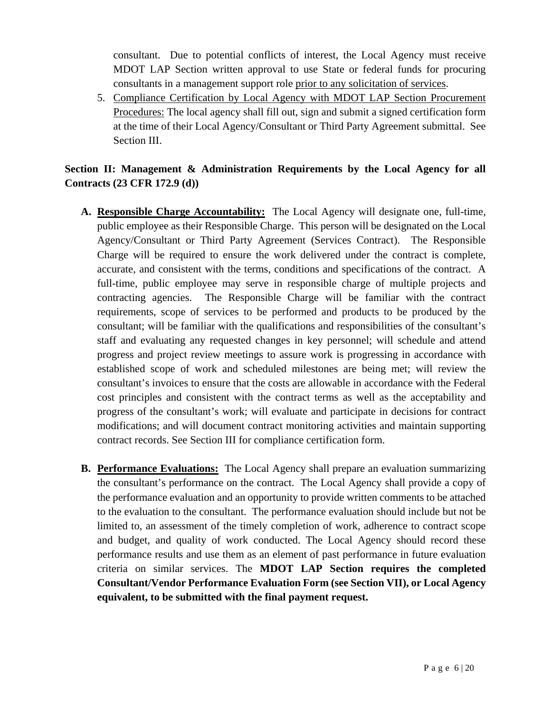consultant. Due to potential conflicts of interest, the Local Agency must receive MDOT LAP Section written approval to use State or federal funds for procuring consultants in a management support role prior to any solicitation of services.

5. Compliance Certification by Local Agency with MDOT LAP Section Procurement Procedures: The local agency shall fill out, sign and submit a signed certification form at the time of their Local Agency/Consultant or Third Party Agreement submittal. See Section III.

## **Section II: Management & Administration Requirements by the Local Agency for all Contracts (23 CFR 172.9 (d))**

- **A. Responsible Charge Accountability:** The Local Agency will designate one, full-time, public employee as their Responsible Charge. This person will be designated on the Local Agency/Consultant or Third Party Agreement (Services Contract). The Responsible Charge will be required to ensure the work delivered under the contract is complete, accurate, and consistent with the terms, conditions and specifications of the contract. A full-time, public employee may serve in responsible charge of multiple projects and contracting agencies. The Responsible Charge will be familiar with the contract requirements, scope of services to be performed and products to be produced by the consultant; will be familiar with the qualifications and responsibilities of the consultant's staff and evaluating any requested changes in key personnel; will schedule and attend progress and project review meetings to assure work is progressing in accordance with established scope of work and scheduled milestones are being met; will review the consultant's invoices to ensure that the costs are allowable in accordance with the Federal cost principles and consistent with the contract terms as well as the acceptability and progress of the consultant's work; will evaluate and participate in decisions for contract modifications; and will document contract monitoring activities and maintain supporting contract records. See Section III for compliance certification form.
- **B. Performance Evaluations:** The Local Agency shall prepare an evaluation summarizing the consultant's performance on the contract. The Local Agency shall provide a copy of the performance evaluation and an opportunity to provide written comments to be attached to the evaluation to the consultant. The performance evaluation should include but not be limited to, an assessment of the timely completion of work, adherence to contract scope and budget, and quality of work conducted. The Local Agency should record these performance results and use them as an element of past performance in future evaluation criteria on similar services. The **MDOT LAP Section requires the completed Consultant/Vendor Performance Evaluation Form (see Section VII), or Local Agency equivalent, to be submitted with the final payment request.**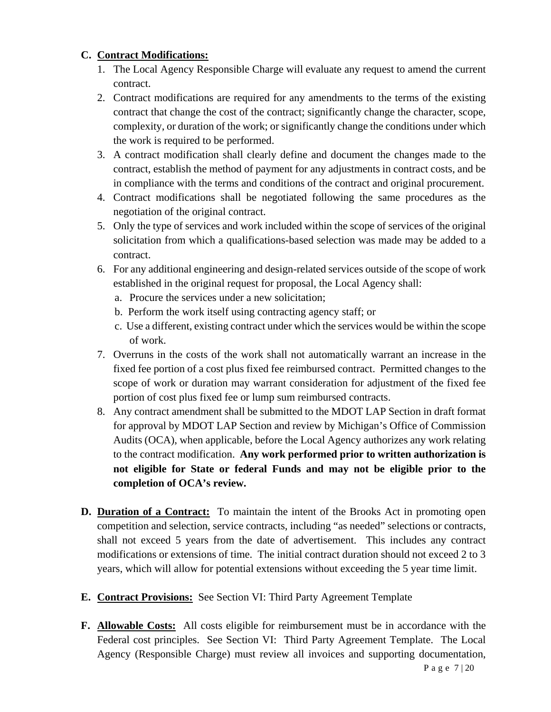### **C. Contract Modifications:**

- 1. The Local Agency Responsible Charge will evaluate any request to amend the current contract.
- 2. Contract modifications are required for any amendments to the terms of the existing contract that change the cost of the contract; significantly change the character, scope, complexity, or duration of the work; or significantly change the conditions under which the work is required to be performed.
- 3. A contract modification shall clearly define and document the changes made to the contract, establish the method of payment for any adjustments in contract costs, and be in compliance with the terms and conditions of the contract and original procurement.
- 4. Contract modifications shall be negotiated following the same procedures as the negotiation of the original contract.
- 5. Only the type of services and work included within the scope of services of the original solicitation from which a qualifications-based selection was made may be added to a contract.
- 6. For any additional engineering and design-related services outside of the scope of work established in the original request for proposal, the Local Agency shall:
	- a. Procure the services under a new solicitation;
	- b. Perform the work itself using contracting agency staff; or
	- c. Use a different, existing contract under which the services would be within the scope of work.
- 7. Overruns in the costs of the work shall not automatically warrant an increase in the fixed fee portion of a cost plus fixed fee reimbursed contract. Permitted changes to the scope of work or duration may warrant consideration for adjustment of the fixed fee portion of cost plus fixed fee or lump sum reimbursed contracts.
- 8. Any contract amendment shall be submitted to the MDOT LAP Section in draft format for approval by MDOT LAP Section and review by Michigan's Office of Commission Audits (OCA), when applicable, before the Local Agency authorizes any work relating to the contract modification. **Any work performed prior to written authorization is not eligible for State or federal Funds and may not be eligible prior to the completion of OCA's review.**
- **D. Duration of a Contract:** To maintain the intent of the Brooks Act in promoting open competition and selection, service contracts, including "as needed" selections or contracts, shall not exceed 5 years from the date of advertisement. This includes any contract modifications or extensions of time. The initial contract duration should not exceed 2 to 3 years, which will allow for potential extensions without exceeding the 5 year time limit.
- **E. Contract Provisions:** See Section VI: Third Party Agreement Template
- **F. Allowable Costs:** All costs eligible for reimbursement must be in accordance with the Federal cost principles. See Section VI: Third Party Agreement Template. The Local Agency (Responsible Charge) must review all invoices and supporting documentation,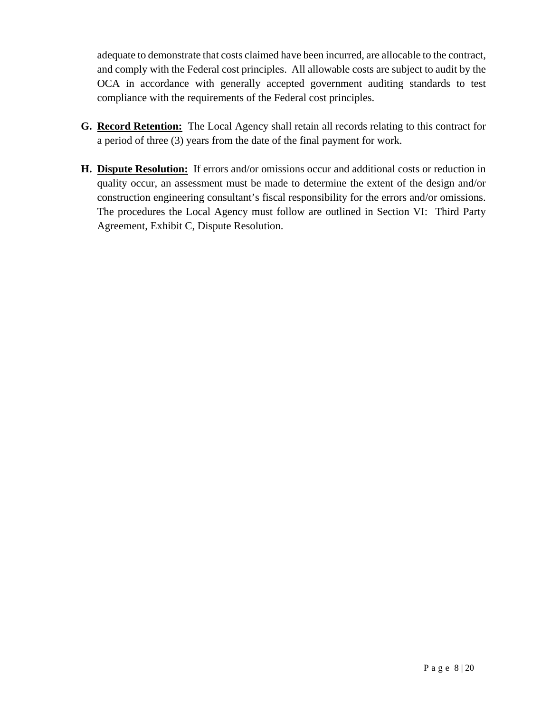adequate to demonstrate that costs claimed have been incurred, are allocable to the contract, and comply with the Federal cost principles. All allowable costs are subject to audit by the OCA in accordance with generally accepted government auditing standards to test compliance with the requirements of the Federal cost principles.

- **G. Record Retention:** The Local Agency shall retain all records relating to this contract for a period of three (3) years from the date of the final payment for work.
- **H. Dispute Resolution:** If errors and/or omissions occur and additional costs or reduction in quality occur, an assessment must be made to determine the extent of the design and/or construction engineering consultant's fiscal responsibility for the errors and/or omissions. The procedures the Local Agency must follow are outlined in Section VI: Third Party Agreement, Exhibit C, Dispute Resolution.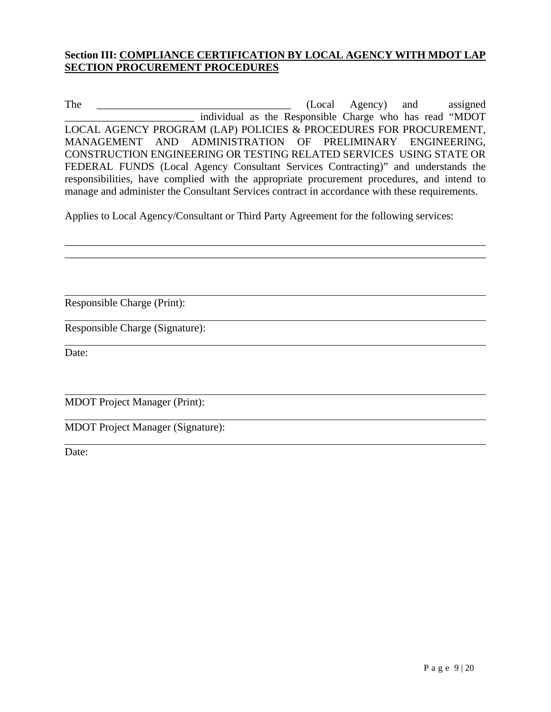### **Section III: COMPLIANCE CERTIFICATION BY LOCAL AGENCY WITH MDOT LAP SECTION PROCUREMENT PROCEDURES**

The \_\_\_\_\_\_\_\_\_\_\_\_\_\_\_\_\_\_\_\_\_\_\_\_\_\_\_\_\_\_\_\_\_\_\_\_ (Local Agency) and assigned \_\_\_\_\_\_\_\_\_\_\_\_\_\_\_\_\_\_\_\_\_\_\_\_ individual as the Responsible Charge who has read "MDOT LOCAL AGENCY PROGRAM (LAP) POLICIES & PROCEDURES FOR PROCUREMENT, MANAGEMENT AND ADMINISTRATION OF PRELIMINARY ENGINEERING, CONSTRUCTION ENGINEERING OR TESTING RELATED SERVICES USING STATE OR FEDERAL FUNDS (Local Agency Consultant Services Contracting)" and understands the responsibilities, have complied with the appropriate procurement procedures, and intend to manage and administer the Consultant Services contract in accordance with these requirements.

\_\_\_\_\_\_\_\_\_\_\_\_\_\_\_\_\_\_\_\_\_\_\_\_\_\_\_\_\_\_\_\_\_\_\_\_\_\_\_\_\_\_\_\_\_\_\_\_\_\_\_\_\_\_\_\_\_\_\_\_\_\_\_\_\_\_\_\_\_\_\_\_\_\_\_\_\_\_ \_\_\_\_\_\_\_\_\_\_\_\_\_\_\_\_\_\_\_\_\_\_\_\_\_\_\_\_\_\_\_\_\_\_\_\_\_\_\_\_\_\_\_\_\_\_\_\_\_\_\_\_\_\_\_\_\_\_\_\_\_\_\_\_\_\_\_\_\_\_\_\_\_\_\_\_\_\_

Applies to Local Agency/Consultant or Third Party Agreement for the following services:

Responsible Charge (Print):

Responsible Charge (Signature):

Date:

 $\overline{a}$ 

 $\overline{a}$ 

MDOT Project Manager (Print):

MDOT Project Manager (Signature):

Date: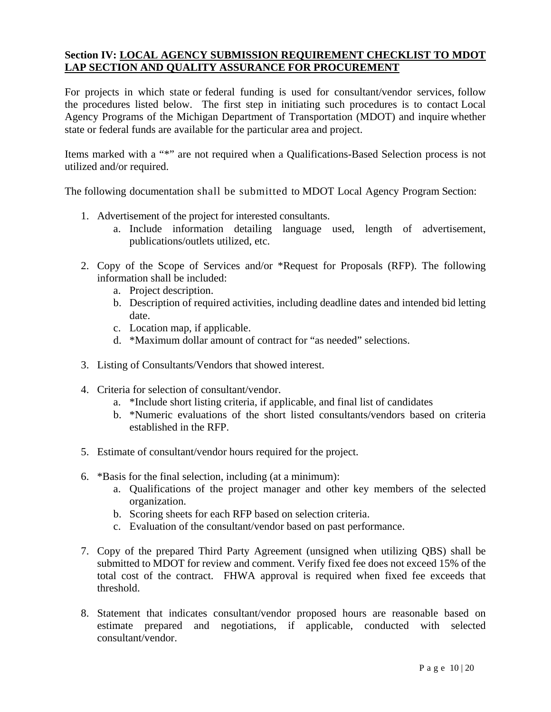### **Section IV: LOCAL AGENCY SUBMISSION REQUIREMENT CHECKLIST TO MDOT LAP SECTION AND QUALITY ASSURANCE FOR PROCUREMENT**

For projects in which state or federal funding is used for consultant/vendor services, follow the procedures listed below. The first step in initiating such procedures is to contact Local Agency Programs of the Michigan Department of Transportation (MDOT) and inquire whether state or federal funds are available for the particular area and project.

Items marked with a "\*" are not required when a Qualifications-Based Selection process is not utilized and/or required.

The following documentation shall be submitted to MDOT Local Agency Program Section:

- 1. Advertisement of the project for interested consultants.
	- a. Include information detailing language used, length of advertisement, publications/outlets utilized, etc.
- 2. Copy of the Scope of Services and/or \*Request for Proposals (RFP). The following information shall be included:
	- a. Project description.
	- b. Description of required activities, including deadline dates and intended bid letting date.
	- c. Location map, if applicable.
	- d. \*Maximum dollar amount of contract for "as needed" selections.
- 3. Listing of Consultants/Vendors that showed interest.
- 4. Criteria for selection of consultant/vendor.
	- a. \*Include short listing criteria, if applicable, and final list of candidates
	- b. \*Numeric evaluations of the short listed consultants/vendors based on criteria established in the RFP.
- 5. Estimate of consultant/vendor hours required for the project.
- 6. \*Basis for the final selection, including (at a minimum):
	- a. Qualifications of the project manager and other key members of the selected organization.
	- b. Scoring sheets for each RFP based on selection criteria.
	- c. Evaluation of the consultant/vendor based on past performance.
- 7. Copy of the prepared Third Party Agreement (unsigned when utilizing QBS) shall be submitted to MDOT for review and comment. Verify fixed fee does not exceed 15% of the total cost of the contract. FHWA approval is required when fixed fee exceeds that threshold.
- 8. Statement that indicates consultant/vendor proposed hours are reasonable based on estimate prepared and negotiations, if applicable, conducted with selected consultant/vendor.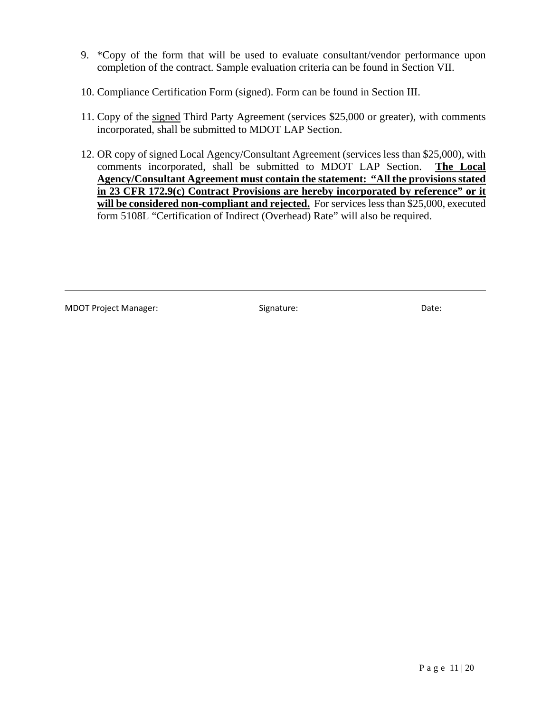- 9. \*Copy of the form that will be used to evaluate consultant/vendor performance upon completion of the contract. Sample evaluation criteria can be found in Section VII.
- 10. Compliance Certification Form (signed). Form can be found in Section III.
- 11. Copy of the signed Third Party Agreement (services \$25,000 or greater), with comments incorporated, shall be submitted to MDOT LAP Section.
- 12. OR copy of signed Local Agency/Consultant Agreement (services less than \$25,000), with comments incorporated, shall be submitted to MDOT LAP Section. **The Local Agency/Consultant Agreement must contain the statement: "All the provisions stated in 23 CFR 172.9(c) Contract Provisions are hereby incorporated by reference" or it will be considered non-compliant and rejected.** For services less than \$25,000, executed form 5108L "Certification of Indirect (Overhead) Rate" will also be required.

MDOT Project Manager:  $\qquad \qquad$  Signature:  $\qquad \qquad$  Date:

<u> 1989 - Johann Stoff, amerikansk politiker (d. 1989)</u>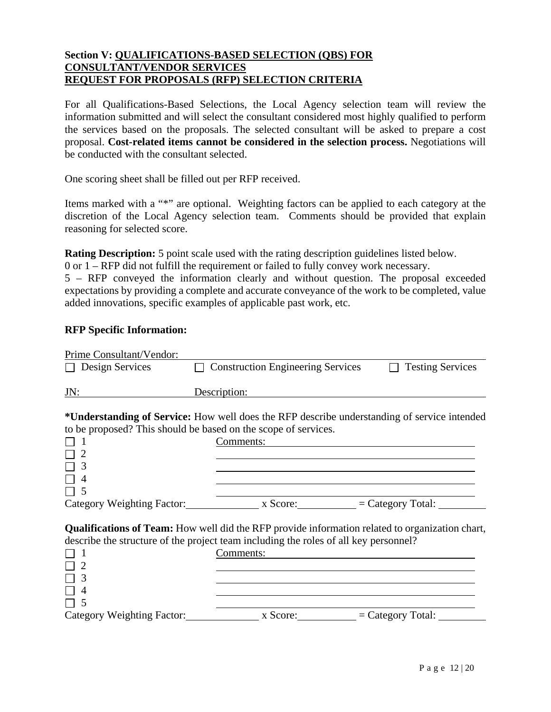#### **Section V: QUALIFICATIONS-BASED SELECTION (QBS) FOR CONSULTANT/VENDOR SERVICES REQUEST FOR PROPOSALS (RFP) SELECTION CRITERIA**

For all Qualifications-Based Selections, the Local Agency selection team will review the information submitted and will select the consultant considered most highly qualified to perform the services based on the proposals. The selected consultant will be asked to prepare a cost proposal. **Cost-related items cannot be considered in the selection process.** Negotiations will be conducted with the consultant selected.

One scoring sheet shall be filled out per RFP received.

Items marked with a "\*" are optional. Weighting factors can be applied to each category at the discretion of the Local Agency selection team. Comments should be provided that explain reasoning for selected score.

**Rating Description:** 5 point scale used with the rating description guidelines listed below.

0 or 1 – RFP did not fulfill the requirement or failed to fully convey work necessary.

5 – RFP conveyed the information clearly and without question. The proposal exceeded expectations by providing a complete and accurate conveyance of the work to be completed, value added innovations, specific examples of applicable past work, etc.

#### **RFP Specific Information:**

| Prime Consultant/Vendor:   |                                                                                                        |                         |
|----------------------------|--------------------------------------------------------------------------------------------------------|-------------------------|
| Design Services            | <b>Construction Engineering Services</b>                                                               | <b>Testing Services</b> |
| JN:                        | Description:                                                                                           |                         |
|                            | * <b>Understanding of Service:</b> How well does the RFP describe understanding of service intended    |                         |
|                            | to be proposed? This should be based on the scope of services.                                         |                         |
|                            | Comments:                                                                                              |                         |
|                            |                                                                                                        |                         |
|                            |                                                                                                        |                         |
|                            |                                                                                                        |                         |
|                            |                                                                                                        |                         |
|                            | Category Weighting Factor: x Score: = Category Total:                                                  |                         |
|                            | <b>Qualifications of Team:</b> How well did the RFP provide information related to organization chart, |                         |
|                            | describe the structure of the project team including the roles of all key personnel?                   |                         |
|                            | Comments:                                                                                              |                         |
|                            |                                                                                                        |                         |
|                            |                                                                                                        |                         |
|                            |                                                                                                        |                         |
|                            |                                                                                                        |                         |
| Category Weighting Factor: | x Score:                                                                                               | $=$ Category Total:     |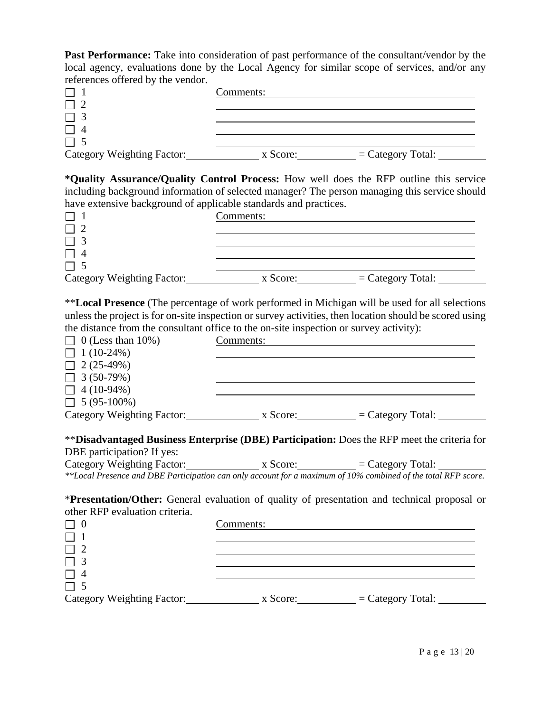**Past Performance:** Take into consideration of past performance of the consultant/vendor by the local agency, evaluations done by the Local Agency for similar scope of services, and/or any references offered by the vendor.

|                            | Comments: |                     |
|----------------------------|-----------|---------------------|
|                            |           |                     |
|                            |           |                     |
|                            |           |                     |
|                            |           |                     |
| Category Weighting Factor: | x Score:  | $=$ Category Total: |

**\*Quality Assurance/Quality Control Process:** How well does the RFP outline this service including background information of selected manager? The person managing this service should have extensive background of applicable standards and practices.

| nave chronicles concept come of approache standards and practices. |           |                     |  |
|--------------------------------------------------------------------|-----------|---------------------|--|
|                                                                    | Comments: |                     |  |
|                                                                    |           |                     |  |
|                                                                    |           |                     |  |
|                                                                    |           |                     |  |
|                                                                    |           |                     |  |
| Category Weighting Factor:                                         | x Score:  | $=$ Category Total: |  |

\*\***Local Presence** (The percentage of work performed in Michigan will be used for all selections unless the project is for on-site inspection or survey activities, then location should be scored using the distance from the consultant office to the on-site inspection or survey activity):

| $\Box$ 0 (Less than 10%)   | Comments: |                     |
|----------------------------|-----------|---------------------|
| $\Box$ 1 (10-24%)          |           |                     |
| $\Box$ 2 (25-49%)          |           |                     |
| $\Box$ 3 (50-79%)          |           |                     |
| $\Box$ 4 (10-94%)          |           |                     |
| $\Box$ 5 (95-100%)         |           |                     |
| Category Weighting Factor: | x Score:  | $=$ Category Total: |

\*\***Disadvantaged Business Enterprise (DBE) Participation:** Does the RFP meet the criteria for DBE participation? If yes:

Category Weighting Factor: x Score: x Score:  $\frac{1}{x}$  = Category Total: *\*\*Local Presence and DBE Participation can only account for a maximum of 10% combined of the total RFP score.*

\***Presentation/Other:** General evaluation of quality of presentation and technical proposal or other RFP evaluation criteria.

|                            | Comments: |                     |
|----------------------------|-----------|---------------------|
|                            |           |                     |
|                            |           |                     |
|                            |           |                     |
|                            |           |                     |
|                            |           |                     |
| Category Weighting Factor: | x Score:  | $=$ Category Total: |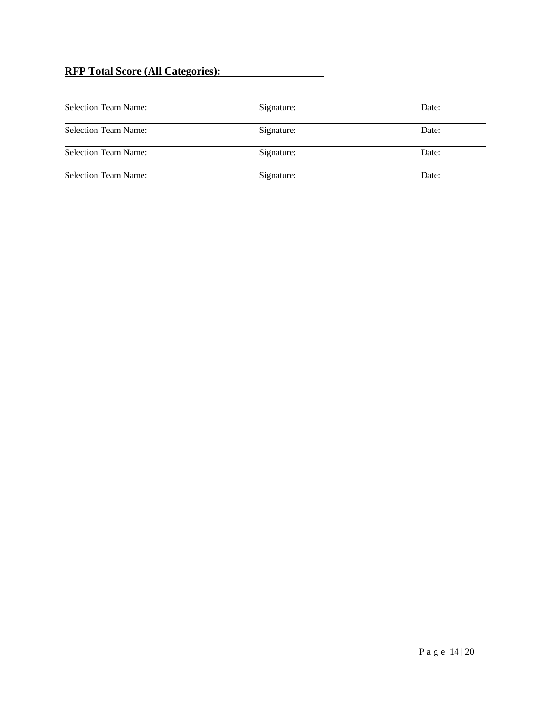## **RFP Total Score (All Categories):**

| <b>Selection Team Name:</b> | Signature: | Date: |
|-----------------------------|------------|-------|
| <b>Selection Team Name:</b> | Signature: | Date: |
| <b>Selection Team Name:</b> | Signature: | Date: |
| <b>Selection Team Name:</b> | Signature: | Date: |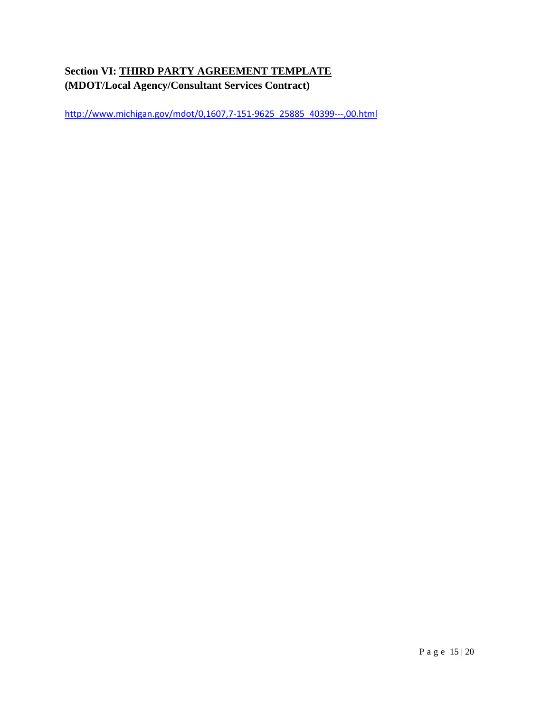# **Section VI: THIRD PARTY AGREEMENT TEMPLATE (MDOT/Local Agency/Consultant Services Contract)**

http://www.michigan.gov/mdot/0,1607,7-151-9625\_25885\_40399---,00.html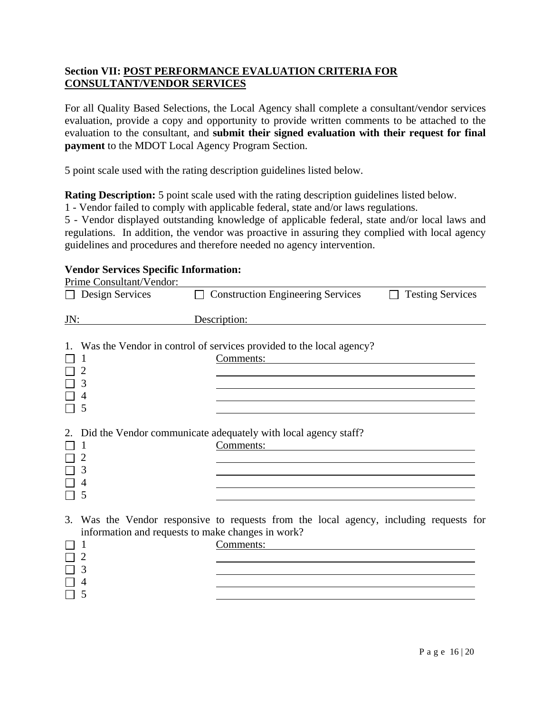#### **Section VII: POST PERFORMANCE EVALUATION CRITERIA FOR CONSULTANT/VENDOR SERVICES**

For all Quality Based Selections, the Local Agency shall complete a consultant/vendor services evaluation, provide a copy and opportunity to provide written comments to be attached to the evaluation to the consultant, and **submit their signed evaluation with their request for final payment** to the MDOT Local Agency Program Section.

5 point scale used with the rating description guidelines listed below.

**Rating Description:** 5 point scale used with the rating description guidelines listed below.

1 - Vendor failed to comply with applicable federal, state and/or laws regulations.

5 - Vendor displayed outstanding knowledge of applicable federal, state and/or local laws and regulations. In addition, the vendor was proactive in assuring they complied with local agency guidelines and procedures and therefore needed no agency intervention.

#### **Vendor Services Specific Information:**

|                          |  |  | Prime Consultant/Vendor: |  |
|--------------------------|--|--|--------------------------|--|
| $\overline{\phantom{0}}$ |  |  |                          |  |

|     | Design Services                                   | $\Box$ Construction Engineering Services                                                                                                                                                            | <b>Testing Services</b> |  |
|-----|---------------------------------------------------|-----------------------------------------------------------------------------------------------------------------------------------------------------------------------------------------------------|-------------------------|--|
| JN: |                                                   | Description:                                                                                                                                                                                        |                         |  |
| 1.  |                                                   | Was the Vendor in control of services provided to the local agency?<br>Comments:                                                                                                                    |                         |  |
| 2.  |                                                   | Did the Vendor communicate adequately with local agency staff?<br>Comments:<br><u> 1980 - Jan Samuel Barbara, margaret e populazion del control del control del control de la control de la con</u> |                         |  |
| 3.  | information and requests to make changes in work? | Was the Vendor responsive to requests from the local agency, including requests for<br>Comments:                                                                                                    |                         |  |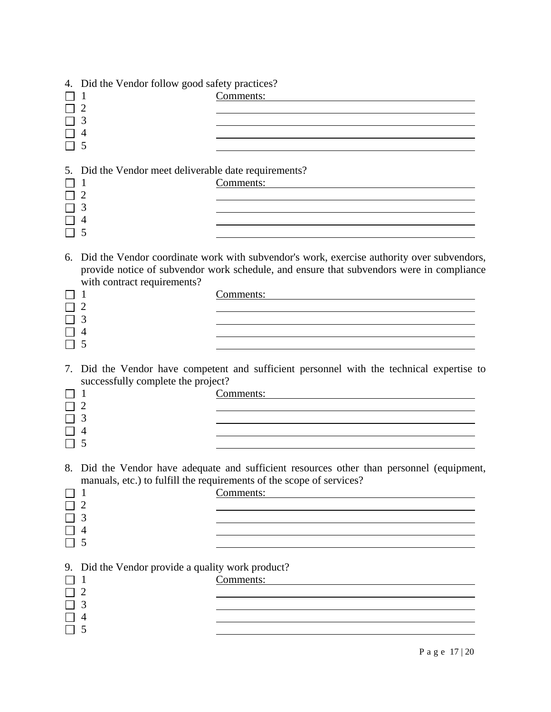|    | 4. Did the Vendor follow good safety practices?                                |                                                                                                                                                                                                    |
|----|--------------------------------------------------------------------------------|----------------------------------------------------------------------------------------------------------------------------------------------------------------------------------------------------|
|    | 1<br>$\overline{2}$<br>3<br>$\overline{4}$<br>5                                | Comments:                                                                                                                                                                                          |
| 5. | Did the Vendor meet deliverable date requirements?<br>$\overline{2}$<br>3<br>5 | Comments:                                                                                                                                                                                          |
| 6. | with contract requirements?<br>1<br>3<br>5                                     | Did the Vendor coordinate work with subvendor's work, exercise authority over subvendors,<br>provide notice of subvendor work schedule, and ensure that subvendors were in compliance<br>Comments: |
|    | successfully complete the project?<br>3<br>4<br>5                              | 7. Did the Vendor have competent and sufficient personnel with the technical expertise to<br>Comments:                                                                                             |
|    | 1<br>3<br>5                                                                    | 8. Did the Vendor have adequate and sufficient resources other than personnel (equipment,<br>manuals, etc.) to fulfill the requirements of the scope of services?<br>Comments:                     |
| 9. | Did the Vendor provide a quality work product?<br>1<br>2<br>3<br>5             | Comments:                                                                                                                                                                                          |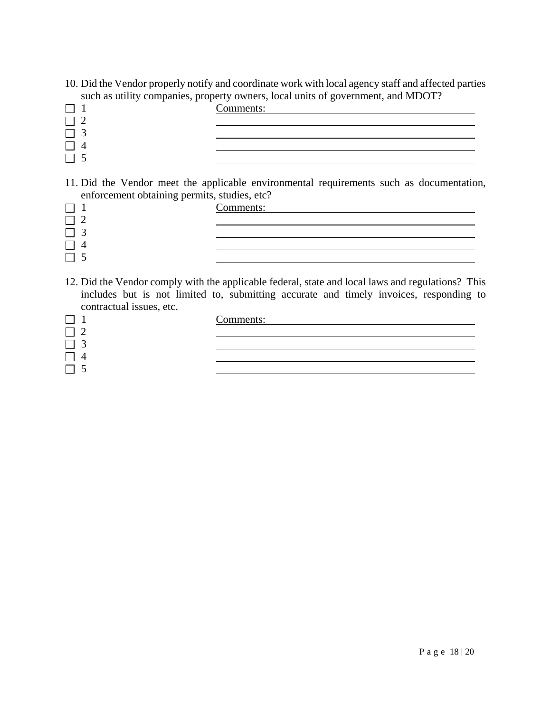10. Did the Vendor properly notify and coordinate work with local agency staff and affected parties such as utility companies, property owners, local units of government, and MDOT?

| $\sim$<br>$\sim$ $\sim$ $\sim$ | -<br>Comments: |
|--------------------------------|----------------|
|                                |                |
|                                |                |
|                                |                |
|                                |                |

11. Did the Vendor meet the applicable environmental requirements such as documentation, enforcement obtaining permits, studies, etc?

| - - | Comments: |
|-----|-----------|
|     |           |
|     |           |
|     |           |
|     |           |

12. Did the Vendor comply with the applicable federal, state and local laws and regulations? This includes but is not limited to, submitting accurate and timely invoices, responding to contractual issues, etc.

| Comments: |  |
|-----------|--|
|           |  |
|           |  |
|           |  |
|           |  |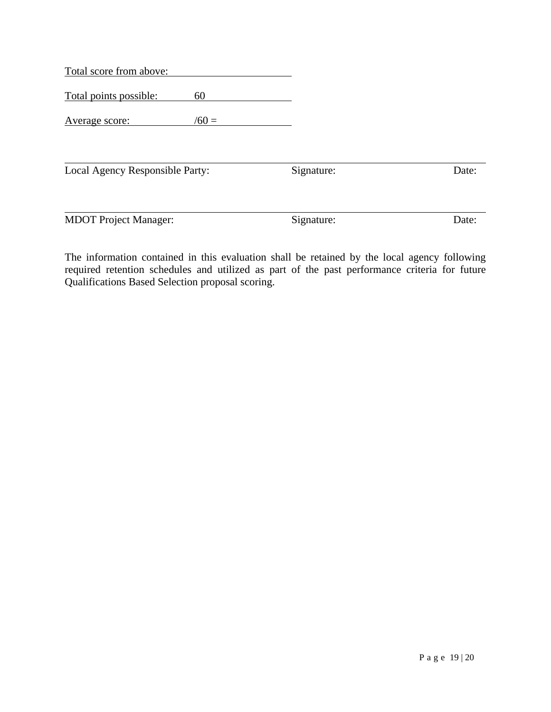| Total score from above:         |         |            |       |
|---------------------------------|---------|------------|-------|
| Total points possible:          | 60      |            |       |
| Average score:                  | $/60 =$ |            |       |
| Local Agency Responsible Party: |         | Signature: | Date: |
|                                 |         |            |       |

The information contained in this evaluation shall be retained by the local agency following required retention schedules and utilized as part of the past performance criteria for future Qualifications Based Selection proposal scoring.